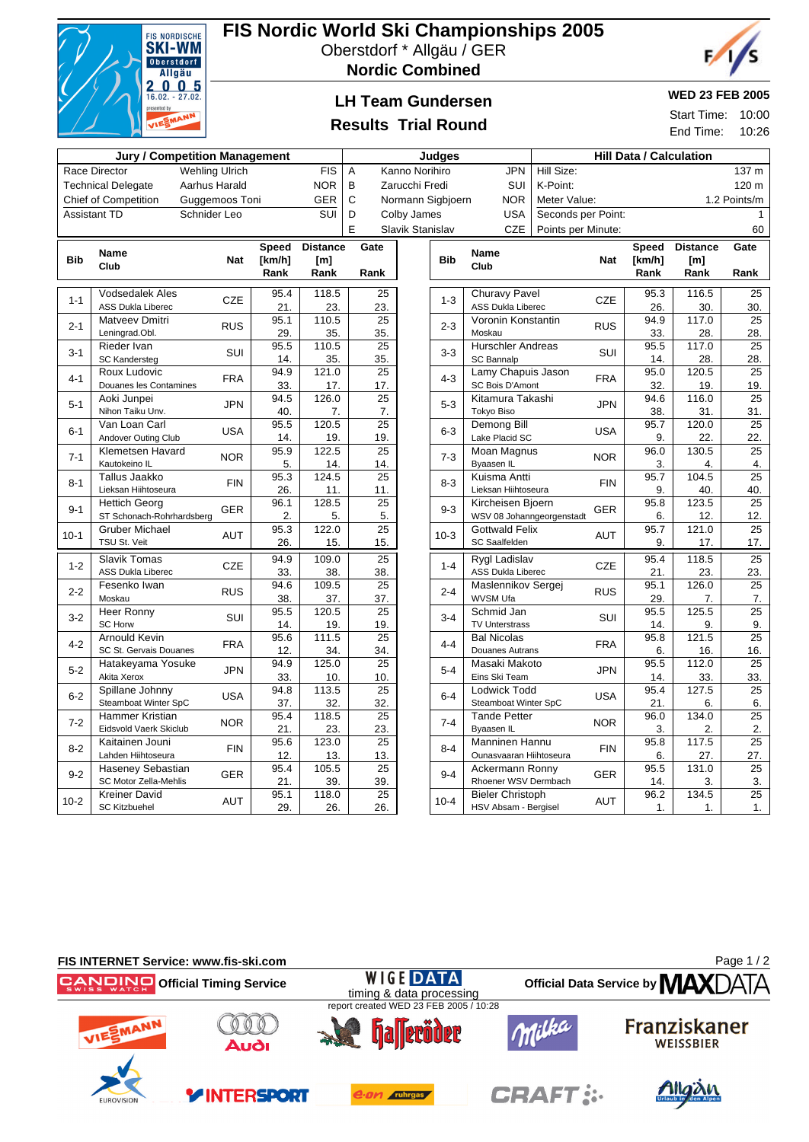

# **FIS Nordic World Ski Championships 2005**

Oberstdorf \* Allgäu / GER





## **LH Team Gundersen**

### **Results Trial Round**

#### **WED 23 FEB 2005**

Start Time: 10:00 End Time: 10:26

|                                                                                |                                        |               | <b>Judges</b>      |                                      | <b>Hill Data / Calculation</b> |                  |            |                                       |                    |            |                |                 |                 |
|--------------------------------------------------------------------------------|----------------------------------------|---------------|--------------------|--------------------------------------|--------------------------------|------------------|------------|---------------------------------------|--------------------|------------|----------------|-----------------|-----------------|
| <b>Jury / Competition Management</b><br><b>Wehling Ulrich</b><br>Race Director |                                        |               | <b>FIS</b>         | <b>JPN</b><br>Α<br>Kanno Norihiro    |                                |                  |            | Hill Size:                            |                    |            |                | 137 m           |                 |
|                                                                                | <b>Technical Delegate</b>              | Aarhus Harald |                    | <b>NOR</b>                           | B                              | Zarucchi Fredi   |            | SUI                                   | K-Point:           |            |                |                 | 120 m           |
| <b>Chief of Competition</b><br>Guggemoos Toni                                  |                                        |               | <b>GER</b>         | C<br><b>NOR</b><br>Normann Sigbjoern |                                |                  |            | Meter Value:<br>1.2 Points/m          |                    |            |                |                 |                 |
|                                                                                | <b>Assistant TD</b>                    | Schnider Leo  |                    | <b>SUI</b>                           | D<br>Colby James               |                  |            | <b>USA</b>                            | Seconds per Point: |            |                |                 |                 |
|                                                                                |                                        |               |                    |                                      | E                              | Slavik Stanislav |            | <b>CZE</b>                            | Points per Minute: |            |                |                 | 60              |
|                                                                                |                                        |               |                    |                                      |                                |                  |            |                                       |                    |            |                |                 |                 |
|                                                                                | <b>Name</b>                            |               | <b>Speed</b>       | <b>Distance</b>                      | Gate                           |                  |            | <b>Name</b>                           |                    |            | <b>Speed</b>   | <b>Distance</b> | Gate            |
| <b>Bib</b>                                                                     | Club                                   | <b>Nat</b>    | [km/h]<br>Rank     | [m]<br>Rank                          | Rank                           |                  | <b>Bib</b> | Club                                  |                    | <b>Nat</b> | [km/h]<br>Rank | [m]<br>Rank     | Rank            |
|                                                                                |                                        |               |                    |                                      |                                |                  |            |                                       |                    |            |                |                 |                 |
| $1 - 1$                                                                        | <b>Vodsedalek Ales</b>                 | <b>CZE</b>    | 95.4               | 118.5                                | $\overline{25}$                |                  | $1 - 3$    | <b>Churavy Pavel</b>                  |                    | <b>CZE</b> | 95.3           | 116.5           | 25              |
|                                                                                | <b>ASS Dukla Liberec</b>               |               | 21.                | 23.                                  | 23.                            |                  |            | <b>ASS Dukla Liberec</b>              |                    |            | 26.            | 30.             | 30.             |
| $2 - 1$                                                                        | Matveev Dmitri                         | <b>RUS</b>    | 95.1               | 110.5                                | 25                             |                  | $2 - 3$    | Voronin Konstantin                    |                    | <b>RUS</b> | 94.9           | 117.0           | 25              |
|                                                                                | Leningrad.Obl.                         |               | 29.                | 35.                                  | 35.                            |                  |            | Moskau                                |                    |            | 33.            | 28.             | 28.             |
| $3-1$                                                                          | Rieder Ivan                            | SUI           | 95.5               | 110.5                                | 25                             |                  | $3 - 3$    | <b>Hurschler Andreas</b>              | SUI                |            | 95.5           | 117.0           | 25              |
|                                                                                | <b>SC Kandersteg</b>                   |               | 14.                | 35.                                  | 35.                            |                  |            | <b>SC Bannalp</b>                     |                    |            | 14.<br>95.0    | 28.             | 28.             |
| $4 - 1$                                                                        | Roux Ludovic<br>Douanes les Contamines | <b>FRA</b>    | 94.9               | 121.0                                | 25                             |                  | $4 - 3$    | Lamy Chapuis Jason<br>SC Bois D'Amont |                    | <b>FRA</b> |                | 120.5           | 25              |
|                                                                                | Aoki Junpei                            |               | 33.<br>94.5        | 17.<br>126.0                         | 17.<br>25                      |                  |            | Kitamura Takashi                      |                    |            | 32.<br>94.6    | 19.<br>116.0    | 19.<br>25       |
| $5 - 1$                                                                        | Nihon Taiku Unv.                       | <b>JPN</b>    | 40.                | 7.                                   | 7.                             |                  | $5 - 3$    | Tokyo Biso                            | <b>JPN</b>         |            | 38.            | 31.             | 31.             |
|                                                                                | Van Loan Carl                          |               | 95.5               | 120.5                                | $\overline{25}$                |                  |            | Demong Bill                           |                    |            | 95.7           | 120.0           | $\overline{25}$ |
| $6 - 1$                                                                        | Andover Outing Club                    | <b>USA</b>    | 14.                | 19.                                  | 19.                            |                  | $6-3$      | Lake Placid SC                        |                    | <b>USA</b> | 9.             | 22.             | 22.             |
|                                                                                | Klemetsen Havard                       |               | 95.9               | 122.5                                | 25                             |                  | $7 - 3$    | Moan Magnus                           |                    |            | 96.0           | 130.5           | 25              |
| $7 - 1$                                                                        | Kautokeino IL                          | <b>NOR</b>    | 5.                 | 14.                                  | 14.                            |                  |            | <b>Byaasen IL</b>                     |                    | <b>NOR</b> |                | 4.              | 4.              |
| $8 - 1$                                                                        | Tallus Jaakko                          | <b>FIN</b>    | 95.3               | 124.5                                | 25                             |                  | $8 - 3$    | Kuisma Antti                          | <b>FIN</b>         |            | 95.7           | 104.5           | 25              |
|                                                                                | Lieksan Hiihtoseura                    |               | 26.                | 11.                                  | 11.                            |                  |            | Lieksan Hiihtoseura                   |                    |            | 9.             | 40.             | 40.             |
| $9 - 1$                                                                        | <b>Hettich Georg</b>                   | <b>GER</b>    | 96.1               | 128.5                                | 25                             |                  | $9 - 3$    | Kircheisen Bjoern                     | <b>GER</b>         |            | 95.8           | 123.5           | 25              |
|                                                                                | ST Schonach-Rohrhardsberg              |               | 2.                 | 5.                                   | 5.                             |                  |            | WSV 08 Johanngeorgenstadt             |                    |            | 6.             | 12.             | 12.             |
| $10-1$                                                                         | <b>Gruber Michael</b>                  |               | 95.3<br><b>AUT</b> | 122.0                                | 25                             |                  | $10-3$     | <b>Gottwald Felix</b>                 | <b>AUT</b>         |            | 95.7           | 121.0           | 25              |
|                                                                                | TSU St. Veit                           |               | 26.                | 15.                                  | 15.                            |                  |            | <b>SC Saalfelden</b>                  |                    |            | 9.             | 17.             | 17.             |
| $1 - 2$                                                                        | Slavik Tomas                           | CZE           | 94.9               | 109.0                                | $\overline{25}$                |                  | $1 - 4$    | Rygl Ladislav                         | <b>CZE</b>         |            | 95.4           | 118.5           | $\overline{25}$ |
|                                                                                | <b>ASS Dukla Liberec</b>               |               | 33.                | 38.                                  | 38.                            |                  |            | <b>ASS Dukla Liberec</b>              |                    |            |                | 23.             | 23.             |
| $2 - 2$                                                                        | Fesenko Iwan                           | <b>RUS</b>    | 94.6               | 109.5                                | 25                             |                  | $2 - 4$    | Maslennikov Sergej                    | <b>RUS</b>         |            | 95.1           | 126.0           | 25              |
|                                                                                | Moskau                                 |               | 38.                | 37.                                  | 37.                            |                  |            | <b>WVSM Ufa</b>                       |                    |            | 29.            | 7.              | 7.              |
| $3-2$                                                                          | Heer Ronny<br><b>SC Horw</b>           | SUI           | 95.5               | 120.5                                | 25                             |                  | $3 - 4$    | Schmid Jan<br><b>TV Unterstrass</b>   |                    | <b>SUI</b> | 95.5           | 125.5           | 25              |
|                                                                                | Arnould Kevin                          |               | 14.<br>95.6        | 19.<br>111.5                         | 19.<br>25                      |                  |            | <b>Bal Nicolas</b>                    |                    |            | 14.<br>95.8    | 9.<br>121.5     | 9.<br>25        |
| $4 - 2$                                                                        | SC St. Gervais Douanes                 | <b>FRA</b>    | 12.                | 34.                                  | 34.                            |                  | $4 - 4$    | Douanes Autrans                       |                    | <b>FRA</b> | 6.             | 16.             | 16.             |
|                                                                                | Hatakeyama Yosuke                      |               | 94.9               | 125.0                                | 25                             |                  |            | Masaki Makoto                         |                    |            | 95.5           | 112.0           | 25              |
| $5 - 2$                                                                        | Akita Xerox                            | <b>JPN</b>    | 33.                | 10.                                  | 10.                            |                  | $5 - 4$    | Eins Ski Team                         |                    | <b>JPN</b> | 14.            | 33.             | 33.             |
|                                                                                | Spillane Johnny                        |               | 94.8               | 113.5                                | 25                             |                  |            | <b>Lodwick Todd</b>                   |                    |            | 95.4           | 127.5           | 25              |
| $6-2$                                                                          | Steamboat Winter SpC                   | <b>USA</b>    | 37.                | 32.                                  | 32.                            |                  | $6 - 4$    | Steamboat Winter SpC                  |                    | <b>USA</b> | 21.            | 6.              | 6.              |
|                                                                                | Hammer Kristian                        |               | 95.4               | 118.5                                | 25                             |                  |            | <b>Tande Petter</b>                   |                    |            | 96.0           | 134.0           | 25              |
| $7 - 2$                                                                        | Eidsvold Vaerk Skiclub                 | <b>NOR</b>    | 21.                | 23.                                  | 23.                            |                  | $7 - 4$    | Byaasen IL                            | <b>NOR</b>         |            | 3.             | 2.              | 2.              |
| $8 - 2$                                                                        | Kaitainen Jouni                        | <b>FIN</b>    | 95.6               | 123.0                                | $\overline{25}$                |                  | $8 - 4$    | Manninen Hannu                        | <b>FIN</b>         |            | 95.8           | 117.5           | $\overline{25}$ |
|                                                                                | Lahden Hiihtoseura                     |               | 12.                | 13.                                  | 13.                            |                  |            | Ounasvaaran Hiihtoseura               |                    |            | 6.             | 27.             | 27.             |
| $9 - 2$                                                                        | Haseney Sebastian                      | <b>GER</b>    | 95.4               | 105.5                                | 25                             |                  | $9 - 4$    | Ackermann Ronny                       | <b>GER</b>         | 95.5       | 131.0          | 25              |                 |
|                                                                                | SC Motor Zella-Mehlis                  |               | 21.                | 39.                                  | 39.                            |                  |            | Rhoener WSV Dermbach                  |                    |            | 14.            | 3.              | 3.              |
| $10-2$                                                                         | Kreiner David                          | <b>AUT</b>    | 95.1               | 118.0                                | 25                             |                  | $10 - 4$   | <b>Bieler Christoph</b>               |                    | <b>AUT</b> | 96.2           | 134.5           | 25              |
|                                                                                | <b>SC Kitzbuehel</b>                   |               | 29.                | 26.                                  | 26.                            |                  |            | HSV Absam - Bergisel                  |                    |            | 1.             | 1.              | 1.              |